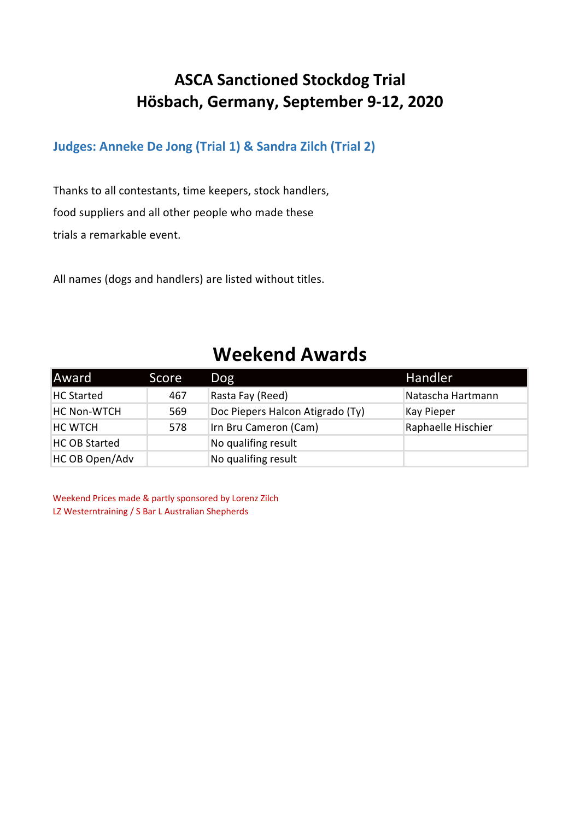#### **ASCA Sanctioned Stockdog Trial Hösbach, Germany, September 9-12, 2020**

#### **Judges: Anneke De Jong (Trial 1) & Sandra Zilch (Trial 2)**

Thanks to all contestants, time keepers, stock handlers, food suppliers and all other people who made these trials a remarkable event.

All names (dogs and handlers) are listed without titles.

#### **Weekend Awards**

| Award                | Score | Dog                              | Handler            |
|----------------------|-------|----------------------------------|--------------------|
| <b>HC Started</b>    | 467   | Rasta Fay (Reed)                 | Natascha Hartmann  |
| <b>HC Non-WTCH</b>   | 569   | Doc Piepers Halcon Atigrado (Ty) | Kay Pieper         |
| <b>HC WTCH</b>       | 578   | Irn Bru Cameron (Cam)            | Raphaelle Hischier |
| <b>HC OB Started</b> |       | No qualifing result              |                    |
| HC OB Open/Adv       |       | No qualifing result              |                    |

Weekend Prices made & partly sponsored by Lorenz Zilch LZ Westerntraining / S Bar L Australian Shepherds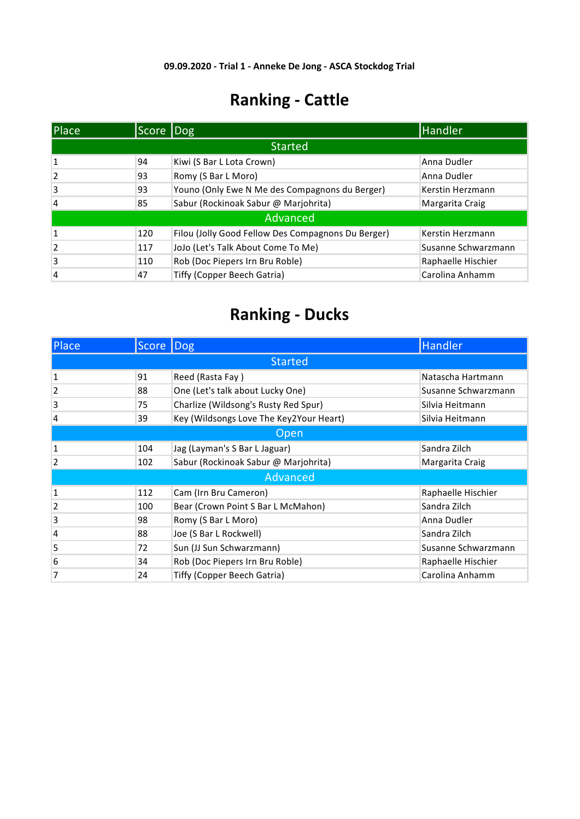| Place          | Score Dog |                                                    | Handler             |
|----------------|-----------|----------------------------------------------------|---------------------|
|                |           | <b>Started</b>                                     |                     |
| 1              | 94        | Kiwi (S Bar L Lota Crown)                          | Anna Dudler         |
| $\overline{2}$ | 93        | Romy (S Bar L Moro)                                | Anna Dudler         |
| 3              | 93        | Youno (Only Ewe N Me des Compagnons du Berger)     | Kerstin Herzmann    |
| 4              | 85        | Sabur (Rockinoak Sabur @ Marjohrita)               | Margarita Craig     |
|                |           | Advanced                                           |                     |
| $\mathbf{1}$   | 120       | Filou (Jolly Good Fellow Des Compagnons Du Berger) | Kerstin Herzmann    |
| $\overline{2}$ | 117       | JoJo (Let's Talk About Come To Me)                 | Susanne Schwarzmann |
| 3              | 110       | Rob (Doc Piepers Irn Bru Roble)                    | Raphaelle Hischier  |
| 4              | 47        | Tiffy (Copper Beech Gatria)                        | Carolina Anhamm     |

| Place          | Score Dog      |                                         | Handler             |  |  |  |
|----------------|----------------|-----------------------------------------|---------------------|--|--|--|
|                | <b>Started</b> |                                         |                     |  |  |  |
| $\mathbf{1}$   | 91             | Reed (Rasta Fay)                        | Natascha Hartmann   |  |  |  |
| $\overline{2}$ | 88             | One (Let's talk about Lucky One)        | Susanne Schwarzmann |  |  |  |
| 3              | 75             | Charlize (Wildsong's Rusty Red Spur)    | Silvia Heitmann     |  |  |  |
| 4              | 39             | Key (Wildsongs Love The Key2Your Heart) | Silvia Heitmann     |  |  |  |
|                | Open           |                                         |                     |  |  |  |
| 1              | 104            | Jag (Layman's S Bar L Jaguar)           | Sandra Zilch        |  |  |  |
| $\overline{2}$ | 102            | Sabur (Rockinoak Sabur @ Marjohrita)    | Margarita Craig     |  |  |  |
|                |                | Advanced                                |                     |  |  |  |
| $\mathbf{1}$   | 112            | Cam (Irn Bru Cameron)                   | Raphaelle Hischier  |  |  |  |
| $\overline{2}$ | 100            | Bear (Crown Point S Bar L McMahon)      | Sandra Zilch        |  |  |  |
| 3              | 98             | Romy (S Bar L Moro)                     | Anna Dudler         |  |  |  |
| 4              | 88             | Joe (S Bar L Rockwell)                  | Sandra Zilch        |  |  |  |
| 5              | 72             | Sun (JJ Sun Schwarzmann)                | Susanne Schwarzmann |  |  |  |
| 6              | 34             | Rob (Doc Piepers Irn Bru Roble)         | Raphaelle Hischier  |  |  |  |
| 7              | 24             | Tiffy (Copper Beech Gatria)             | Carolina Anhamm     |  |  |  |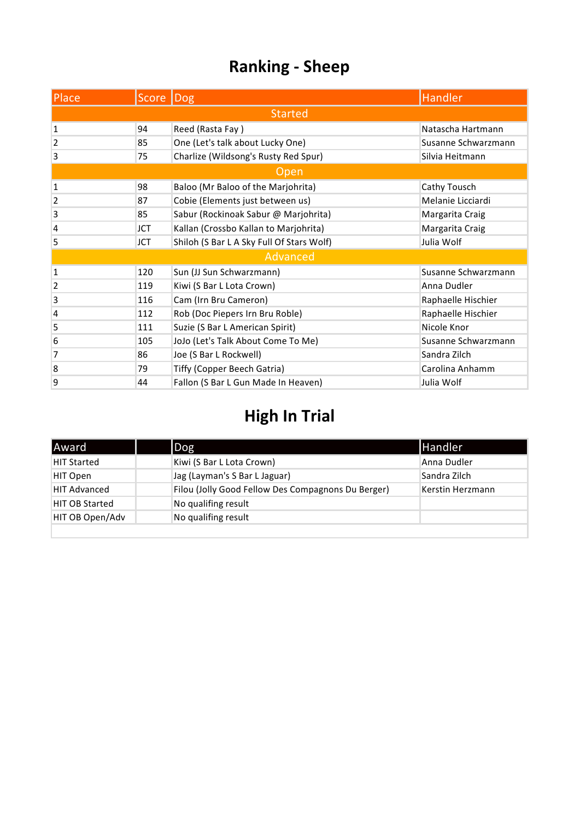| <b>Place</b>   | Score Dog      |                                           | Handler             |  |  |  |
|----------------|----------------|-------------------------------------------|---------------------|--|--|--|
|                | <b>Started</b> |                                           |                     |  |  |  |
| $\mathbf{1}$   | 94             | Reed (Rasta Fay)                          | Natascha Hartmann   |  |  |  |
| $\overline{2}$ | 85             | One (Let's talk about Lucky One)          | Susanne Schwarzmann |  |  |  |
| 3              | 75             | Charlize (Wildsong's Rusty Red Spur)      | Silvia Heitmann     |  |  |  |
|                |                | Open                                      |                     |  |  |  |
| $\mathbf 1$    | 98             | Baloo (Mr Baloo of the Marjohrita)        | Cathy Tousch        |  |  |  |
| $\mathbf{2}$   | 87             | Cobie (Elements just between us)          | Melanie Licciardi   |  |  |  |
| 3              | 85             | Sabur (Rockinoak Sabur @ Marjohrita)      | Margarita Craig     |  |  |  |
| $\overline{4}$ | JCT            | Kallan (Crossbo Kallan to Marjohrita)     | Margarita Craig     |  |  |  |
| 5              | <b>JCT</b>     | Shiloh (S Bar L A Sky Full Of Stars Wolf) | Julia Wolf          |  |  |  |
|                |                | Advanced                                  |                     |  |  |  |
| $\mathbf{1}$   | 120            | Sun (JJ Sun Schwarzmann)                  | Susanne Schwarzmann |  |  |  |
| 2              | 119            | Kiwi (S Bar L Lota Crown)                 | Anna Dudler         |  |  |  |
| 3              | 116            | Cam (Irn Bru Cameron)                     | Raphaelle Hischier  |  |  |  |
| 4              | 112            | Rob (Doc Piepers Irn Bru Roble)           | Raphaelle Hischier  |  |  |  |
| 5              | 111            | Suzie (S Bar L American Spirit)           | Nicole Knor         |  |  |  |
| 6              | 105            | JoJo (Let's Talk About Come To Me)        | Susanne Schwarzmann |  |  |  |
| 7              | 86             | Joe (S Bar L Rockwell)                    | Sandra Zilch        |  |  |  |
| 8              | 79             | Tiffy (Copper Beech Gatria)               | Carolina Anhamm     |  |  |  |
| 9              | 44             | Fallon (S Bar L Gun Made In Heaven)       | Julia Wolf          |  |  |  |

| lAward                | $\log$                                             | <b>Handler</b>   |
|-----------------------|----------------------------------------------------|------------------|
| <b>HIT Started</b>    | Kiwi (S Bar L Lota Crown)                          | Anna Dudler      |
| HIT Open              | Jag (Layman's S Bar L Jaguar)                      | Sandra Zilch     |
| <b>HIT Advanced</b>   | Filou (Jolly Good Fellow Des Compagnons Du Berger) | Kerstin Herzmann |
| <b>HIT OB Started</b> | No qualifing result                                |                  |
| HIT OB Open/Adv       | No qualifing result                                |                  |
|                       |                                                    |                  |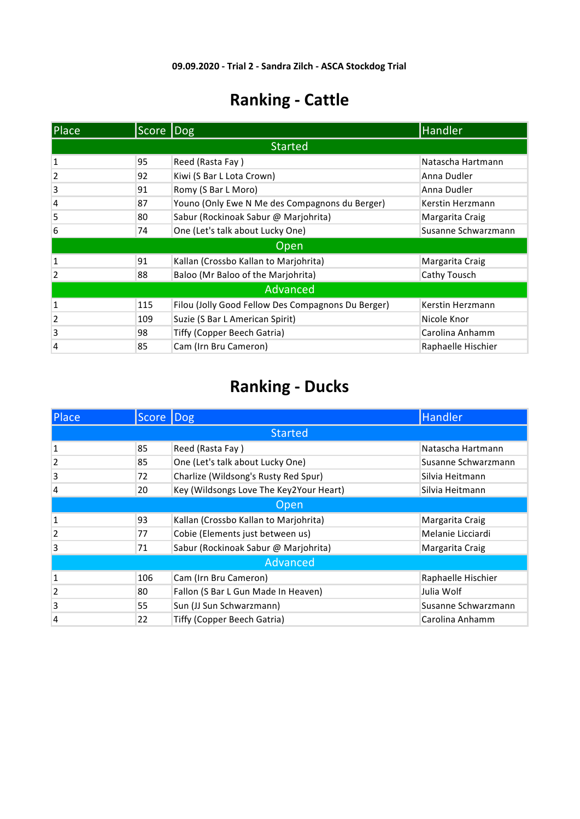| Place                   | Score          | $\overline{ $ Dog                                  | <b>Handler</b>      |  |  |  |
|-------------------------|----------------|----------------------------------------------------|---------------------|--|--|--|
|                         | <b>Started</b> |                                                    |                     |  |  |  |
| 1                       | 95             | Reed (Rasta Fay)                                   | Natascha Hartmann   |  |  |  |
| $\overline{2}$          | 92             | Kiwi (S Bar L Lota Crown)                          | Anna Dudler         |  |  |  |
| 3                       | 91             | Romy (S Bar L Moro)                                | Anna Dudler         |  |  |  |
| 4                       | 87             | Youno (Only Ewe N Me des Compagnons du Berger)     | Kerstin Herzmann    |  |  |  |
| 5                       | 80             | Sabur (Rockinoak Sabur @ Marjohrita)               | Margarita Craig     |  |  |  |
| 6                       | 74             | One (Let's talk about Lucky One)                   | Susanne Schwarzmann |  |  |  |
|                         |                | Open                                               |                     |  |  |  |
| 1                       | 91             | Kallan (Crossbo Kallan to Marjohrita)              | Margarita Craig     |  |  |  |
| $\overline{\mathbf{c}}$ | 88             | Baloo (Mr Baloo of the Marjohrita)                 | Cathy Tousch        |  |  |  |
|                         |                | Advanced                                           |                     |  |  |  |
| 1                       | 115            | Filou (Jolly Good Fellow Des Compagnons Du Berger) | Kerstin Herzmann    |  |  |  |
| $\overline{2}$          | 109            | Suzie (S Bar L American Spirit)                    | Nicole Knor         |  |  |  |
| 3                       | 98             | Tiffy (Copper Beech Gatria)                        | Carolina Anhamm     |  |  |  |
| 4                       | 85             | Cam (Irn Bru Cameron)                              | Raphaelle Hischier  |  |  |  |

| Place          | Score          | $\lfloor$ Dog                           | Handler             |  |  |  |
|----------------|----------------|-----------------------------------------|---------------------|--|--|--|
|                | <b>Started</b> |                                         |                     |  |  |  |
| 1              | 85             | Reed (Rasta Fay)                        | Natascha Hartmann   |  |  |  |
| $\overline{2}$ | 85             | One (Let's talk about Lucky One)        | Susanne Schwarzmann |  |  |  |
| 3              | 72             | Charlize (Wildsong's Rusty Red Spur)    | Silvia Heitmann     |  |  |  |
| 4              | 20             | Key (Wildsongs Love The Key2Your Heart) | Silvia Heitmann     |  |  |  |
|                | Open           |                                         |                     |  |  |  |
| 1              | 93             | Kallan (Crossbo Kallan to Marjohrita)   | Margarita Craig     |  |  |  |
| $\overline{2}$ | 77             | Cobie (Elements just between us)        | Melanie Licciardi   |  |  |  |
| 3              | 71             | Sabur (Rockinoak Sabur @ Marjohrita)    | Margarita Craig     |  |  |  |
|                |                | Advanced                                |                     |  |  |  |
| 1              | 106            | Cam (Irn Bru Cameron)                   | Raphaelle Hischier  |  |  |  |
| $\overline{2}$ | 80             | Fallon (S Bar L Gun Made In Heaven)     | Julia Wolf          |  |  |  |
| 3              | 55             | Sun (JJ Sun Schwarzmann)                | Susanne Schwarzmann |  |  |  |
| 4              | 22             | Tiffy (Copper Beech Gatria)             | Carolina Anhamm     |  |  |  |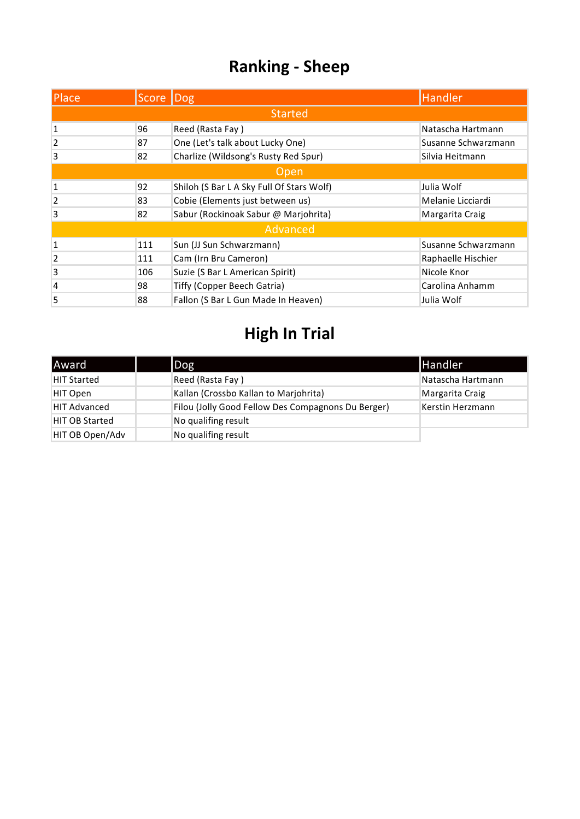| Place          | Score   Dog |                                           | <b>Handler</b>      |  |
|----------------|-------------|-------------------------------------------|---------------------|--|
|                |             | <b>Started</b>                            |                     |  |
| 1              | 96          | Reed (Rasta Fay)                          | Natascha Hartmann   |  |
| $\overline{2}$ | 87          | One (Let's talk about Lucky One)          | Susanne Schwarzmann |  |
| 3              | 82          | Charlize (Wildsong's Rusty Red Spur)      | Silvia Heitmann     |  |
| Open           |             |                                           |                     |  |
| 1              | 92          | Shiloh (S Bar L A Sky Full Of Stars Wolf) | Julia Wolf          |  |
| $\overline{2}$ | 83          | Cobie (Elements just between us)          | Melanie Licciardi   |  |
| 3              | 82          | Sabur (Rockinoak Sabur @ Marjohrita)      | Margarita Craig     |  |
|                |             | Advanced                                  |                     |  |
| 1              | 111         | Sun (JJ Sun Schwarzmann)                  | Susanne Schwarzmann |  |
| $\overline{2}$ | 111         | Cam (Irn Bru Cameron)                     | Raphaelle Hischier  |  |
| 3              | 106         | Suzie (S Bar L American Spirit)           | Nicole Knor         |  |
| 4              | 98          | <b>Tiffy (Copper Beech Gatria)</b>        | Carolina Anhamm     |  |
| 5              | 88          | Fallon (S Bar L Gun Made In Heaven)       | Julia Wolf          |  |

| Award                 | Dog                                                | <b>Handler</b>    |
|-----------------------|----------------------------------------------------|-------------------|
| <b>HIT Started</b>    | Reed (Rasta Fay)                                   | Natascha Hartmann |
| HIT Open              | Kallan (Crossbo Kallan to Marjohrita)              | Margarita Craig   |
| <b>HIT Advanced</b>   | Filou (Jolly Good Fellow Des Compagnons Du Berger) | Kerstin Herzmann  |
| <b>HIT OB Started</b> | No qualifing result                                |                   |
| HIT OB Open/Adv       | No qualifing result                                |                   |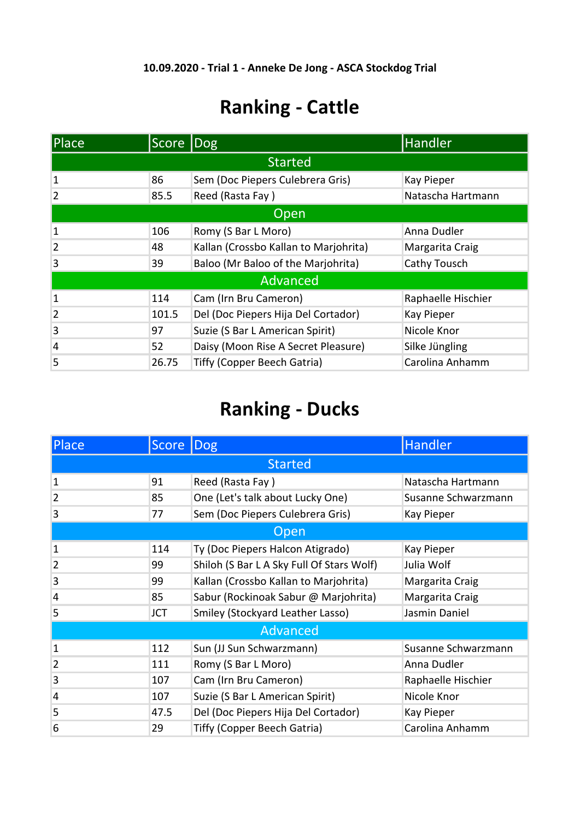| <b>Place</b>   | Score  Dog |                                       | <b>Handler</b>     |  |
|----------------|------------|---------------------------------------|--------------------|--|
|                |            | <b>Started</b>                        |                    |  |
| 1              | 86         | Sem (Doc Piepers Culebrera Gris)      | <b>Kay Pieper</b>  |  |
| $\overline{2}$ | 85.5       | Reed (Rasta Fay)                      | Natascha Hartmann  |  |
| Open           |            |                                       |                    |  |
| 1              | 106        | Romy (S Bar L Moro)                   | Anna Dudler        |  |
| $\overline{2}$ | 48         | Kallan (Crossbo Kallan to Marjohrita) | Margarita Craig    |  |
| 3              | 39         | Baloo (Mr Baloo of the Marjohrita)    | Cathy Tousch       |  |
|                |            | Advanced                              |                    |  |
| $\mathbf{1}$   | 114        | Cam (Irn Bru Cameron)                 | Raphaelle Hischier |  |
| $\overline{2}$ | 101.5      | Del (Doc Piepers Hija Del Cortador)   | Kay Pieper         |  |
| 3              | 97         | Suzie (S Bar L American Spirit)       | Nicole Knor        |  |
| $\overline{4}$ | 52         | Daisy (Moon Rise A Secret Pleasure)   | Silke Jüngling     |  |
| 5              | 26.75      | Tiffy (Copper Beech Gatria)           | Carolina Anhamm    |  |

| Place          | Score Dog  |                                           | Handler             |
|----------------|------------|-------------------------------------------|---------------------|
|                |            | <b>Started</b>                            |                     |
| $\mathbf{1}$   | 91         | Reed (Rasta Fay)                          | Natascha Hartmann   |
| $\overline{2}$ | 85         | One (Let's talk about Lucky One)          | Susanne Schwarzmann |
| 3              | 77         | Sem (Doc Piepers Culebrera Gris)          | Kay Pieper          |
|                |            | Open                                      |                     |
| 1              | 114        | Ty (Doc Piepers Halcon Atigrado)          | Kay Pieper          |
| $\overline{2}$ | 99         | Shiloh (S Bar L A Sky Full Of Stars Wolf) | Julia Wolf          |
| 3              | 99         | Kallan (Crossbo Kallan to Marjohrita)     | Margarita Craig     |
| 4              | 85         | Sabur (Rockinoak Sabur @ Marjohrita)      | Margarita Craig     |
| 5              | <b>JCT</b> | Smiley (Stockyard Leather Lasso)          | Jasmin Daniel       |
|                |            | Advanced                                  |                     |
| $\mathbf{1}$   | 112        | Sun (JJ Sun Schwarzmann)                  | Susanne Schwarzmann |
| $\overline{2}$ | 111        | Romy (S Bar L Moro)                       | Anna Dudler         |
| 3              | 107        | Cam (Irn Bru Cameron)                     | Raphaelle Hischier  |
| $\overline{4}$ | 107        | Suzie (S Bar L American Spirit)           | Nicole Knor         |
| 5              | 47.5       | Del (Doc Piepers Hija Del Cortador)       | Kay Pieper          |
| 6              | 29         | Tiffy (Copper Beech Gatria)               | Carolina Anhamm     |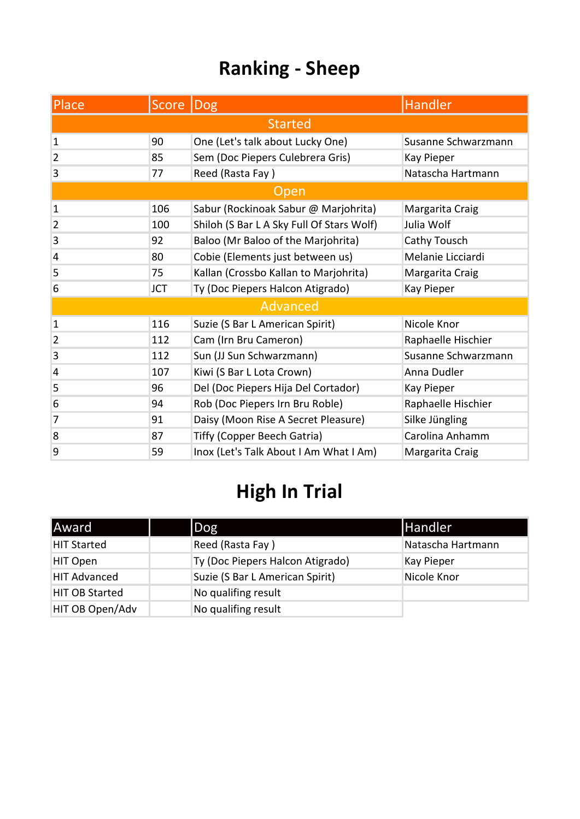| Place          | <b>Score</b>   | Dog                                       | Handler             |  |  |
|----------------|----------------|-------------------------------------------|---------------------|--|--|
|                | <b>Started</b> |                                           |                     |  |  |
| $\mathbf{1}$   | 90             | One (Let's talk about Lucky One)          | Susanne Schwarzmann |  |  |
| $\overline{2}$ | 85             | Sem (Doc Piepers Culebrera Gris)          | Kay Pieper          |  |  |
| 3              | 77             | Reed (Rasta Fay)                          | Natascha Hartmann   |  |  |
|                |                | <b>Open</b>                               |                     |  |  |
| $\mathbf{1}$   | 106            | Sabur (Rockinoak Sabur @ Marjohrita)      | Margarita Craig     |  |  |
| $\overline{2}$ | 100            | Shiloh (S Bar L A Sky Full Of Stars Wolf) | Julia Wolf          |  |  |
| 3              | 92             | Baloo (Mr Baloo of the Marjohrita)        | Cathy Tousch        |  |  |
| $\overline{4}$ | 80             | Cobie (Elements just between us)          | Melanie Licciardi   |  |  |
| 5              | 75             | Kallan (Crossbo Kallan to Marjohrita)     | Margarita Craig     |  |  |
| 6              | <b>JCT</b>     | Ty (Doc Piepers Halcon Atigrado)          | Kay Pieper          |  |  |
|                |                | <b>Advanced</b>                           |                     |  |  |
| $\mathbf{1}$   | 116            | Suzie (S Bar L American Spirit)           | Nicole Knor         |  |  |
| $\overline{2}$ | 112            | Cam (Irn Bru Cameron)                     | Raphaelle Hischier  |  |  |
| 3              | 112            | Sun (JJ Sun Schwarzmann)                  | Susanne Schwarzmann |  |  |
| 4              | 107            | Kiwi (S Bar L Lota Crown)                 | Anna Dudler         |  |  |
| 5              | 96             | Del (Doc Piepers Hija Del Cortador)       | Kay Pieper          |  |  |
| 6              | 94             | Rob (Doc Piepers Irn Bru Roble)           | Raphaelle Hischier  |  |  |
| 7              | 91             | Daisy (Moon Rise A Secret Pleasure)       | Silke Jüngling      |  |  |
| 8              | 87             | <b>Tiffy (Copper Beech Gatria)</b>        | Carolina Anhamm     |  |  |
| 9              | 59             | Inox (Let's Talk About I Am What I Am)    | Margarita Craig     |  |  |

| Award                 | $\log$                           | Handler           |
|-----------------------|----------------------------------|-------------------|
| <b>HIT Started</b>    | Reed (Rasta Fay)                 | Natascha Hartmann |
| HIT Open              | Ty (Doc Piepers Halcon Atigrado) | Kay Pieper        |
| <b>HIT Advanced</b>   | Suzie (S Bar L American Spirit)  | Nicole Knor       |
| <b>HIT OB Started</b> | No qualifing result              |                   |
| HIT OB Open/Adv       | No qualifing result              |                   |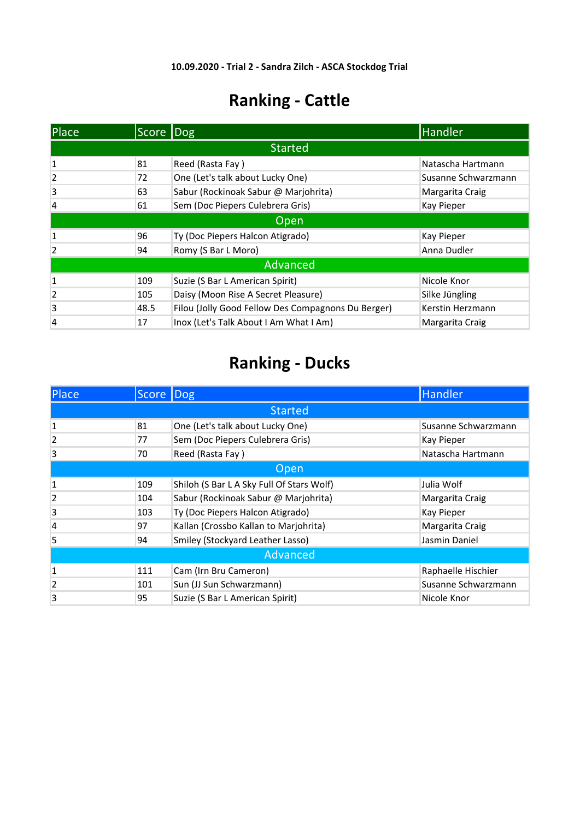| Place          | Score Dog |                                                    | Handler             |
|----------------|-----------|----------------------------------------------------|---------------------|
|                |           | <b>Started</b>                                     |                     |
| $\mathbf{1}$   | 81        | Reed (Rasta Fay)                                   | Natascha Hartmann   |
| 2              | 72        | One (Let's talk about Lucky One)                   | Susanne Schwarzmann |
| 3              | 63        | Sabur (Rockinoak Sabur @ Marjohrita)               | Margarita Craig     |
| 4              | 61        | Sem (Doc Piepers Culebrera Gris)                   | <b>Kay Pieper</b>   |
|                |           | Open                                               |                     |
| 1              | 96        | Ty (Doc Piepers Halcon Atigrado)                   | <b>Kay Pieper</b>   |
| $\overline{2}$ | 94        | Romy (S Bar L Moro)                                | Anna Dudler         |
|                |           | Advanced                                           |                     |
| 1              | 109       | Suzie (S Bar L American Spirit)                    | Nicole Knor         |
| 2              | 105       | Daisy (Moon Rise A Secret Pleasure)                | Silke Jüngling      |
| 3              | 48.5      | Filou (Jolly Good Fellow Des Compagnons Du Berger) | Kerstin Herzmann    |
| 4              | 17        | Inox (Let's Talk About I Am What I Am)             | Margarita Craig     |

| Place          | Score  Dog |                                           | <b>Handler</b>      |  |  |
|----------------|------------|-------------------------------------------|---------------------|--|--|
|                |            | <b>Started</b>                            |                     |  |  |
| $\mathbf{1}$   | 81         | One (Let's talk about Lucky One)          | Susanne Schwarzmann |  |  |
| $\overline{2}$ | 77         | Sem (Doc Piepers Culebrera Gris)          | <b>Kay Pieper</b>   |  |  |
| 3              | 70         | Reed (Rasta Fay)                          | Natascha Hartmann   |  |  |
|                | Open       |                                           |                     |  |  |
| $\mathbf{1}$   | 109        | Shiloh (S Bar L A Sky Full Of Stars Wolf) | Julia Wolf          |  |  |
| $\overline{2}$ | 104        | Sabur (Rockinoak Sabur @ Marjohrita)      | Margarita Craig     |  |  |
| 3              | 103        | Ty (Doc Piepers Halcon Atigrado)          | Kay Pieper          |  |  |
| 4              | 97         | Kallan (Crossbo Kallan to Marjohrita)     | Margarita Craig     |  |  |
| 5              | 94         | Smiley (Stockyard Leather Lasso)          | Jasmin Daniel       |  |  |
| Advanced       |            |                                           |                     |  |  |
| 1              | 111        | Cam (Irn Bru Cameron)                     | Raphaelle Hischier  |  |  |
| $\overline{2}$ | 101        | Sun (JJ Sun Schwarzmann)                  | Susanne Schwarzmann |  |  |
| 3              | 95         | Suzie (S Bar L American Spirit)           | Nicole Knor         |  |  |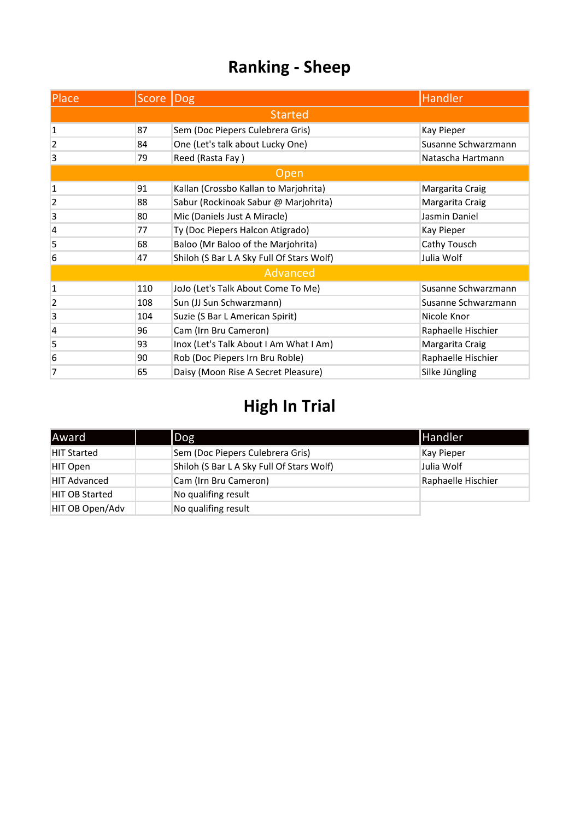| Place          | Score Dog |                                           | <b>Handler</b>      |
|----------------|-----------|-------------------------------------------|---------------------|
|                |           | <b>Started</b>                            |                     |
| $\mathbf{1}$   | 87        | Sem (Doc Piepers Culebrera Gris)          | Kay Pieper          |
| $\overline{2}$ | 84        | One (Let's talk about Lucky One)          | Susanne Schwarzmann |
| 3              | 79        | Reed (Rasta Fay)                          | Natascha Hartmann   |
|                |           | Open                                      |                     |
| $\mathbf 1$    | 91        | Kallan (Crossbo Kallan to Marjohrita)     | Margarita Craig     |
| $\overline{2}$ | 88        | Sabur (Rockinoak Sabur @ Marjohrita)      | Margarita Craig     |
| 3              | 80        | Mic (Daniels Just A Miracle)              | Jasmin Daniel       |
| 4              | 77        | Ty (Doc Piepers Halcon Atigrado)          | Kay Pieper          |
| 5              | 68        | Baloo (Mr Baloo of the Marjohrita)        | Cathy Tousch        |
| 6              | 47        | Shiloh (S Bar L A Sky Full Of Stars Wolf) | Julia Wolf          |
|                |           | Advanced                                  |                     |
| $\mathbf 1$    | 110       | JoJo (Let's Talk About Come To Me)        | Susanne Schwarzmann |
| 2              | 108       | Sun (JJ Sun Schwarzmann)                  | Susanne Schwarzmann |
| 3              | 104       | Suzie (S Bar L American Spirit)           | Nicole Knor         |
| 4              | 96        | Cam (Irn Bru Cameron)                     | Raphaelle Hischier  |
| 5              | 93        | Inox (Let's Talk About I Am What I Am)    | Margarita Craig     |
| 6              | 90        | Rob (Doc Piepers Irn Bru Roble)           | Raphaelle Hischier  |
| 7              | 65        | Daisy (Moon Rise A Secret Pleasure)       | Silke Jüngling      |

| <b>Award</b>          | $\log$                                    | <b>Handler</b>     |
|-----------------------|-------------------------------------------|--------------------|
| <b>HIT Started</b>    | Sem (Doc Piepers Culebrera Gris)          | Kay Pieper         |
| HIT Open              | Shiloh (S Bar L A Sky Full Of Stars Wolf) | Julia Wolf         |
| <b>HIT Advanced</b>   | Cam (Irn Bru Cameron)                     | Raphaelle Hischier |
| <b>HIT OB Started</b> | No qualifing result                       |                    |
| HIT OB Open/Adv       | No qualifing result                       |                    |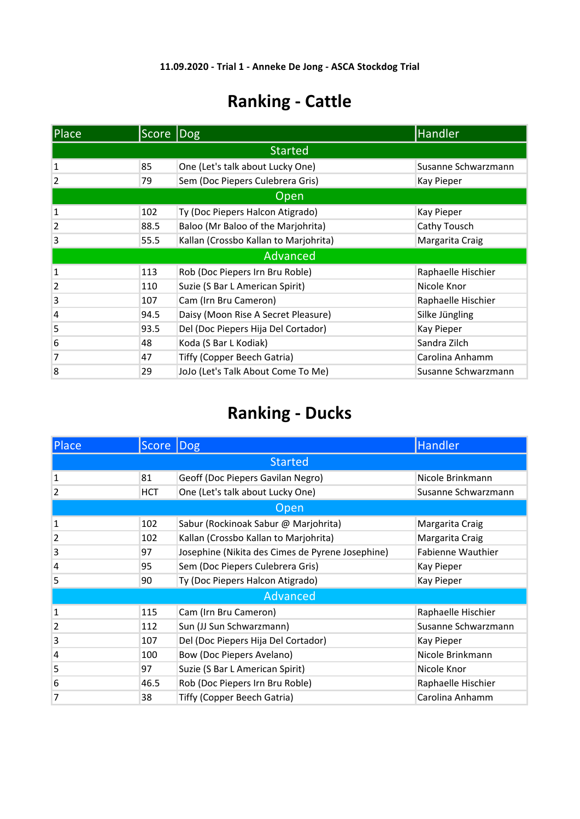| <b>Place</b>   | Score Dog |                                       | Handler             |
|----------------|-----------|---------------------------------------|---------------------|
|                |           | <b>Started</b>                        |                     |
| 1              | 85        | One (Let's talk about Lucky One)      | Susanne Schwarzmann |
| 2              | 79        | Sem (Doc Piepers Culebrera Gris)      | Kay Pieper          |
|                |           | Open                                  |                     |
| 1              | 102       | Ty (Doc Piepers Halcon Atigrado)      | Kay Pieper          |
| $\overline{2}$ | 88.5      | Baloo (Mr Baloo of the Marjohrita)    | Cathy Tousch        |
| 3              | 55.5      | Kallan (Crossbo Kallan to Marjohrita) | Margarita Craig     |
|                |           | Advanced                              |                     |
| $\mathbf{1}$   | 113       | Rob (Doc Piepers Irn Bru Roble)       | Raphaelle Hischier  |
| $\overline{2}$ | 110       | Suzie (S Bar L American Spirit)       | Nicole Knor         |
| 3              | 107       | Cam (Irn Bru Cameron)                 | Raphaelle Hischier  |
| 4              | 94.5      | Daisy (Moon Rise A Secret Pleasure)   | Silke Jüngling      |
| 5              | 93.5      | Del (Doc Piepers Hija Del Cortador)   | Kay Pieper          |
| 6              | 48        | Koda (S Bar L Kodiak)                 | Sandra Zilch        |
| 7              | 47        | Tiffy (Copper Beech Gatria)           | Carolina Anhamm     |
| 8              | 29        | JoJo (Let's Talk About Come To Me)    | Susanne Schwarzmann |

| Place          | Score Dog      |                                                  | Handler             |  |  |
|----------------|----------------|--------------------------------------------------|---------------------|--|--|
|                | <b>Started</b> |                                                  |                     |  |  |
| 1              | 81             | Geoff (Doc Piepers Gavilan Negro)                | Nicole Brinkmann    |  |  |
| $\overline{2}$ | <b>HCT</b>     | One (Let's talk about Lucky One)                 | Susanne Schwarzmann |  |  |
|                |                | Open                                             |                     |  |  |
| 1              | 102            | Sabur (Rockinoak Sabur @ Marjohrita)             | Margarita Craig     |  |  |
| $\overline{2}$ | 102            | Kallan (Crossbo Kallan to Marjohrita)            | Margarita Craig     |  |  |
| 3              | 97             | Josephine (Nikita des Cimes de Pyrene Josephine) | Fabienne Wauthier   |  |  |
| $\overline{4}$ | 95             | Sem (Doc Piepers Culebrera Gris)                 | Kay Pieper          |  |  |
| 5              | 90             | Ty (Doc Piepers Halcon Atigrado)                 | Kay Pieper          |  |  |
|                |                | Advanced                                         |                     |  |  |
| 1              | 115            | Cam (Irn Bru Cameron)                            | Raphaelle Hischier  |  |  |
| $\overline{2}$ | 112            | Sun (JJ Sun Schwarzmann)                         | Susanne Schwarzmann |  |  |
| 3              | 107            | Del (Doc Piepers Hija Del Cortador)              | Kay Pieper          |  |  |
| $\overline{4}$ | 100            | <b>Bow (Doc Piepers Avelano)</b>                 | Nicole Brinkmann    |  |  |
| 5              | 97             | Suzie (S Bar L American Spirit)                  | Nicole Knor         |  |  |
| 6              | 46.5           | Rob (Doc Piepers Irn Bru Roble)                  | Raphaelle Hischier  |  |  |
| 7              | 38             | Tiffy (Copper Beech Gatria)                      | Carolina Anhamm     |  |  |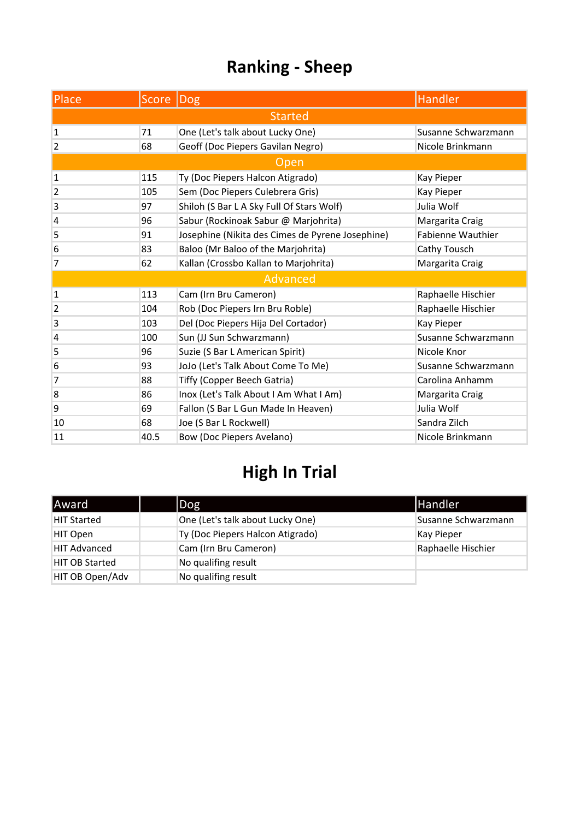| Place          | Score Dog      |                                                  | <b>Handler</b>           |  |  |
|----------------|----------------|--------------------------------------------------|--------------------------|--|--|
|                | <b>Started</b> |                                                  |                          |  |  |
| $\mathbf{1}$   | 71             | One (Let's talk about Lucky One)                 | Susanne Schwarzmann      |  |  |
| 2              | 68             | Geoff (Doc Piepers Gavilan Negro)                | Nicole Brinkmann         |  |  |
|                |                | <b>Open</b>                                      |                          |  |  |
| 1              | 115            | Ty (Doc Piepers Halcon Atigrado)                 | Kay Pieper               |  |  |
| 2              | 105            | Sem (Doc Piepers Culebrera Gris)                 | Kay Pieper               |  |  |
| 3              | 97             | Shiloh (S Bar L A Sky Full Of Stars Wolf)        | Julia Wolf               |  |  |
| $\overline{4}$ | 96             | Sabur (Rockinoak Sabur @ Marjohrita)             | Margarita Craig          |  |  |
| 5              | 91             | Josephine (Nikita des Cimes de Pyrene Josephine) | <b>Fabienne Wauthier</b> |  |  |
| 6              | 83             | Baloo (Mr Baloo of the Marjohrita)               | Cathy Tousch             |  |  |
| 7              | 62             | Kallan (Crossbo Kallan to Marjohrita)            | Margarita Craig          |  |  |
|                |                | Advanced                                         |                          |  |  |
| 1              | 113            | Cam (Irn Bru Cameron)                            | Raphaelle Hischier       |  |  |
| 2              | 104            | Rob (Doc Piepers Irn Bru Roble)                  | Raphaelle Hischier       |  |  |
| 3              | 103            | Del (Doc Piepers Hija Del Cortador)              | Kay Pieper               |  |  |
| 4              | 100            | Sun (JJ Sun Schwarzmann)                         | Susanne Schwarzmann      |  |  |
| 5              | 96             | Suzie (S Bar L American Spirit)                  | Nicole Knor              |  |  |
| 6              | 93             | JoJo (Let's Talk About Come To Me)               | Susanne Schwarzmann      |  |  |
| 7              | 88             | Tiffy (Copper Beech Gatria)                      | Carolina Anhamm          |  |  |
| 8              | 86             | Inox (Let's Talk About I Am What I Am)           | Margarita Craig          |  |  |
| 9              | 69             | Fallon (S Bar L Gun Made In Heaven)              | Julia Wolf               |  |  |
| 10             | 68             | Joe (S Bar L Rockwell)                           | Sandra Zilch             |  |  |
| 11             | 40.5           | <b>Bow (Doc Piepers Avelano)</b>                 | Nicole Brinkmann         |  |  |

| <b>Award</b>          | Dog                              | <b>Handler</b>      |
|-----------------------|----------------------------------|---------------------|
| <b>HIT Started</b>    | One (Let's talk about Lucky One) | Susanne Schwarzmann |
| HIT Open              | Ty (Doc Piepers Halcon Atigrado) | Kay Pieper          |
| <b>HIT Advanced</b>   | Cam (Irn Bru Cameron)            | Raphaelle Hischier  |
| <b>HIT OB Started</b> | No qualifing result              |                     |
| HIT OB Open/Adv       | No qualifing result              |                     |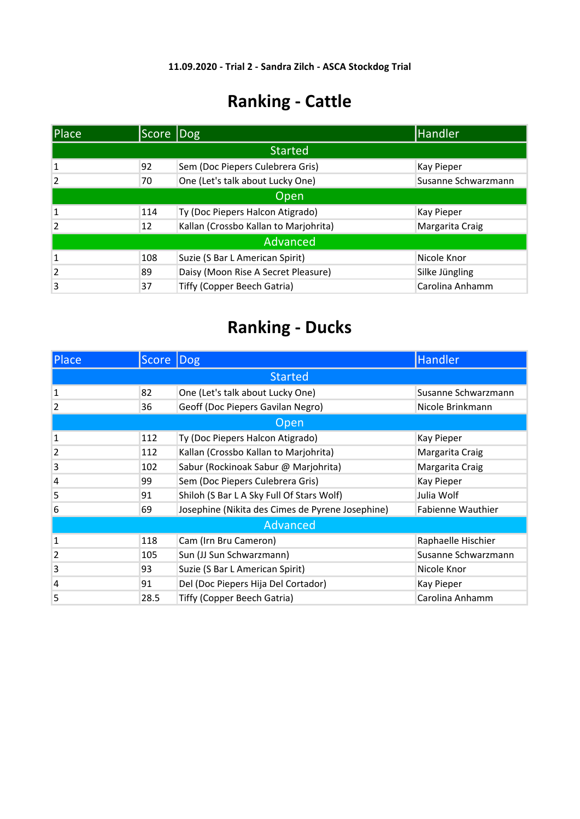| <b>Place</b>   | Score Dog |                                       | <b>Handler</b>      |
|----------------|-----------|---------------------------------------|---------------------|
|                |           | <b>Started</b>                        |                     |
| 1              | 92        | Sem (Doc Piepers Culebrera Gris)      | Kay Pieper          |
| $\overline{2}$ | 70        | One (Let's talk about Lucky One)      | Susanne Schwarzmann |
| Open           |           |                                       |                     |
| 1              | 114       | Ty (Doc Piepers Halcon Atigrado)      | Kay Pieper          |
| $\overline{2}$ | 12        | Kallan (Crossbo Kallan to Marjohrita) | Margarita Craig     |
|                |           | Advanced                              |                     |
| $\mathbf{1}$   | 108       | Suzie (S Bar L American Spirit)       | Nicole Knor         |
| $\overline{2}$ | 89        | Daisy (Moon Rise A Secret Pleasure)   | Silke Jüngling      |
| 3              | 37        | Tiffy (Copper Beech Gatria)           | Carolina Anhamm     |

| <b>Place</b>   | Score Dog |                                                  | Handler             |
|----------------|-----------|--------------------------------------------------|---------------------|
|                |           | <b>Started</b>                                   |                     |
| 1              | 82        | One (Let's talk about Lucky One)                 | Susanne Schwarzmann |
| $\overline{2}$ | 36        | Geoff (Doc Piepers Gavilan Negro)                | Nicole Brinkmann    |
|                |           | Open                                             |                     |
| 1              | 112       | Ty (Doc Piepers Halcon Atigrado)                 | Kay Pieper          |
| $\overline{2}$ | 112       | Kallan (Crossbo Kallan to Marjohrita)            | Margarita Craig     |
| 3              | 102       | Sabur (Rockinoak Sabur @ Marjohrita)             | Margarita Craig     |
| $\overline{4}$ | 99        | Sem (Doc Piepers Culebrera Gris)                 | Kay Pieper          |
| 5              | 91        | Shiloh (S Bar L A Sky Full Of Stars Wolf)        | Julia Wolf          |
| 6              | 69        | Josephine (Nikita des Cimes de Pyrene Josephine) | Fabienne Wauthier   |
|                |           | Advanced                                         |                     |
| 1              | 118       | Cam (Irn Bru Cameron)                            | Raphaelle Hischier  |
| $\overline{2}$ | 105       | Sun (JJ Sun Schwarzmann)                         | Susanne Schwarzmann |
| 3              | 93        | Suzie (S Bar L American Spirit)                  | Nicole Knor         |
| 4              | 91        | Del (Doc Piepers Hija Del Cortador)              | Kay Pieper          |
| 5              | 28.5      | Tiffy (Copper Beech Gatria)                      | Carolina Anhamm     |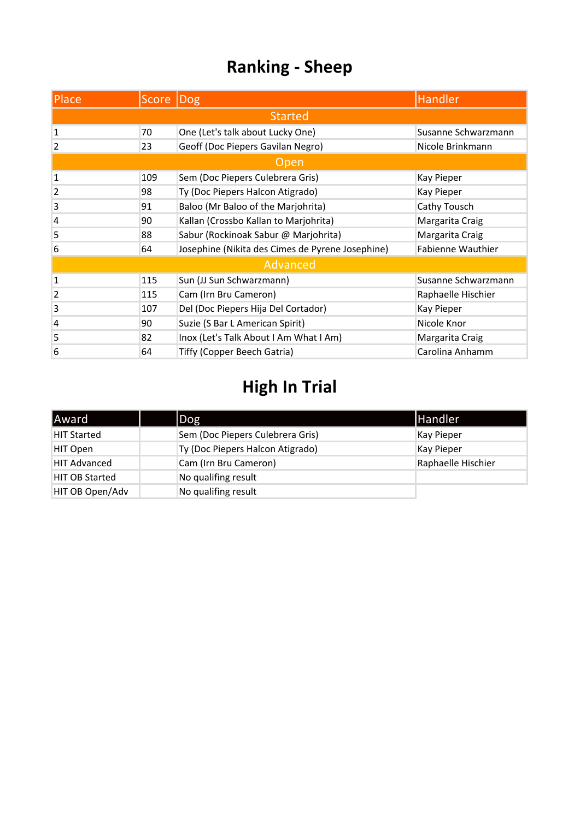| Place          | Score  Dog |                                                  | Handler                  |
|----------------|------------|--------------------------------------------------|--------------------------|
|                |            | <b>Started</b>                                   |                          |
| 1              | 70         | One (Let's talk about Lucky One)                 | Susanne Schwarzmann      |
| $\overline{2}$ | 23         | Geoff (Doc Piepers Gavilan Negro)                | Nicole Brinkmann         |
|                |            | Open                                             |                          |
| $\mathbf{1}$   | 109        | Sem (Doc Piepers Culebrera Gris)                 | Kay Pieper               |
| $\overline{2}$ | 98         | Ty (Doc Piepers Halcon Atigrado)                 | Kay Pieper               |
| 3              | 91         | Baloo (Mr Baloo of the Marjohrita)               | Cathy Tousch             |
| 4              | 90         | Kallan (Crossbo Kallan to Marjohrita)            | Margarita Craig          |
| 5              | 88         | Sabur (Rockinoak Sabur @ Marjohrita)             | Margarita Craig          |
| 6              | 64         | Josephine (Nikita des Cimes de Pyrene Josephine) | <b>Fabienne Wauthier</b> |
|                |            | Advanced                                         |                          |
| 1              | 115        | Sun (JJ Sun Schwarzmann)                         | Susanne Schwarzmann      |
| $\overline{2}$ | 115        | Cam (Irn Bru Cameron)                            | Raphaelle Hischier       |
| 3              | 107        | Del (Doc Piepers Hija Del Cortador)              | Kay Pieper               |
| 4              | 90         | Suzie (S Bar L American Spirit)                  | Nicole Knor              |
| 5              | 82         | Inox (Let's Talk About I Am What I Am)           | Margarita Craig          |
| 6              | 64         | Tiffy (Copper Beech Gatria)                      | Carolina Anhamm          |

| <b>Award</b>          | $\log$                           | <b>Handler</b>     |
|-----------------------|----------------------------------|--------------------|
| <b>HIT Started</b>    | Sem (Doc Piepers Culebrera Gris) | Kay Pieper         |
| HIT Open              | Ty (Doc Piepers Halcon Atigrado) | <b>Kay Pieper</b>  |
| <b>HIT Advanced</b>   | Cam (Irn Bru Cameron)            | Raphaelle Hischier |
| <b>HIT OB Started</b> | No qualifing result              |                    |
| HIT OB Open/Adv       | No qualifing result              |                    |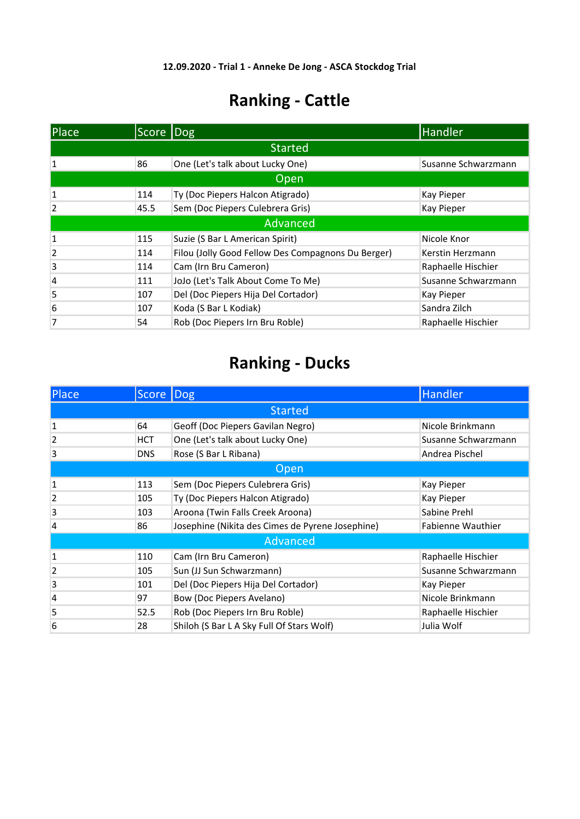| Place          | Score Dog      |                                                    | Handler             |
|----------------|----------------|----------------------------------------------------|---------------------|
|                | <b>Started</b> |                                                    |                     |
| 1              | 86             | One (Let's talk about Lucky One)                   | Susanne Schwarzmann |
|                |                | Open                                               |                     |
| 1              | 114            | Ty (Doc Piepers Halcon Atigrado)                   | <b>Kay Pieper</b>   |
| $\overline{2}$ | 45.5           | Sem (Doc Piepers Culebrera Gris)                   | Kay Pieper          |
|                | Advanced       |                                                    |                     |
| $\mathbf{1}$   | 115            | Suzie (S Bar L American Spirit)                    | Nicole Knor         |
| $\overline{2}$ | 114            | Filou (Jolly Good Fellow Des Compagnons Du Berger) | Kerstin Herzmann    |
| 3              | 114            | Cam (Irn Bru Cameron)                              | Raphaelle Hischier  |
| $\overline{4}$ | 111            | JoJo (Let's Talk About Come To Me)                 | Susanne Schwarzmann |
| 5              | 107            | Del (Doc Piepers Hija Del Cortador)                | <b>Kay Pieper</b>   |
| 6              | 107            | Koda (S Bar L Kodiak)                              | Sandra Zilch        |
| 7              | 54             | Rob (Doc Piepers Irn Bru Roble)                    | Raphaelle Hischier  |

| Place          | Score Dog  |                                                  | Handler <sup>'</sup>     |
|----------------|------------|--------------------------------------------------|--------------------------|
| <b>Started</b> |            |                                                  |                          |
| 1              | 64         | Geoff (Doc Piepers Gavilan Negro)                | Nicole Brinkmann         |
| $\overline{2}$ | <b>HCT</b> | One (Let's talk about Lucky One)                 | Susanne Schwarzmann      |
| 3              | <b>DNS</b> | Rose (S Bar L Ribana)                            | Andrea Pischel           |
| Open           |            |                                                  |                          |
| $\mathbf{1}$   | 113        | Sem (Doc Piepers Culebrera Gris)                 | Kay Pieper               |
| $\overline{2}$ | 105        | Ty (Doc Piepers Halcon Atigrado)                 | Kay Pieper               |
| 3              | 103        | Aroona (Twin Falls Creek Aroona)                 | Sabine Prehl             |
| 4              | 86         | Josephine (Nikita des Cimes de Pyrene Josephine) | <b>Fabienne Wauthier</b> |
|                |            | Advanced                                         |                          |
| $\mathbf{1}$   | 110        | Cam (Irn Bru Cameron)                            | Raphaelle Hischier       |
| $\overline{2}$ | 105        | Sun (JJ Sun Schwarzmann)                         | Susanne Schwarzmann      |
| 3              | 101        | Del (Doc Piepers Hija Del Cortador)              | Kay Pieper               |
| 4              | 97         | Bow (Doc Piepers Avelano)                        | Nicole Brinkmann         |
| 5              | 52.5       | Rob (Doc Piepers Irn Bru Roble)                  | Raphaelle Hischier       |
| 6              | 28         | Shiloh (S Bar L A Sky Full Of Stars Wolf)        | Julia Wolf               |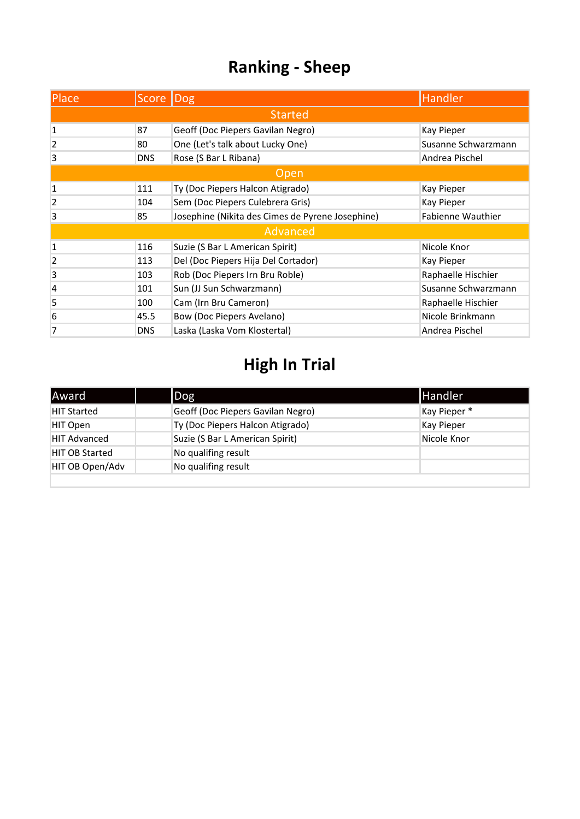| Place          | Score  Dog     |                                                  | <b>Handler</b>           |
|----------------|----------------|--------------------------------------------------|--------------------------|
|                | <b>Started</b> |                                                  |                          |
| 1              | 87             | Geoff (Doc Piepers Gavilan Negro)                | Kay Pieper               |
| $\overline{2}$ | 80             | One (Let's talk about Lucky One)                 | Susanne Schwarzmann      |
| 3              | <b>DNS</b>     | Rose (S Bar L Ribana)                            | Andrea Pischel           |
| Open           |                |                                                  |                          |
| 1              | 111            | Ty (Doc Piepers Halcon Atigrado)                 | Kay Pieper               |
| $\overline{2}$ | 104            | Sem (Doc Piepers Culebrera Gris)                 | Kay Pieper               |
| 3              | 85             | Josephine (Nikita des Cimes de Pyrene Josephine) | <b>Fabienne Wauthier</b> |
|                |                | Advanced                                         |                          |
| 1              | 116            | Suzie (S Bar L American Spirit)                  | Nicole Knor              |
| 2              | 113            | Del (Doc Piepers Hija Del Cortador)              | Kay Pieper               |
| 3              | 103            | Rob (Doc Piepers Irn Bru Roble)                  | Raphaelle Hischier       |
| $\overline{4}$ | 101            | Sun (JJ Sun Schwarzmann)                         | Susanne Schwarzmann      |
| 5              | 100            | Cam (Irn Bru Cameron)                            | Raphaelle Hischier       |
| 6              | 45.5           | Bow (Doc Piepers Avelano)                        | Nicole Brinkmann         |
| 7              | <b>DNS</b>     | Laska (Laska Vom Klostertal)                     | Andrea Pischel           |

| Award                 | $\log$                            | <b>Handler</b> |
|-----------------------|-----------------------------------|----------------|
| <b>HIT Started</b>    | Geoff (Doc Piepers Gavilan Negro) | Kay Pieper*    |
| HIT Open              | Ty (Doc Piepers Halcon Atigrado)  | Kay Pieper     |
| <b>HIT Advanced</b>   | Suzie (S Bar L American Spirit)   | Nicole Knor    |
| <b>HIT OB Started</b> | No qualifing result               |                |
| HIT OB Open/Adv       | No qualifing result               |                |
|                       |                                   |                |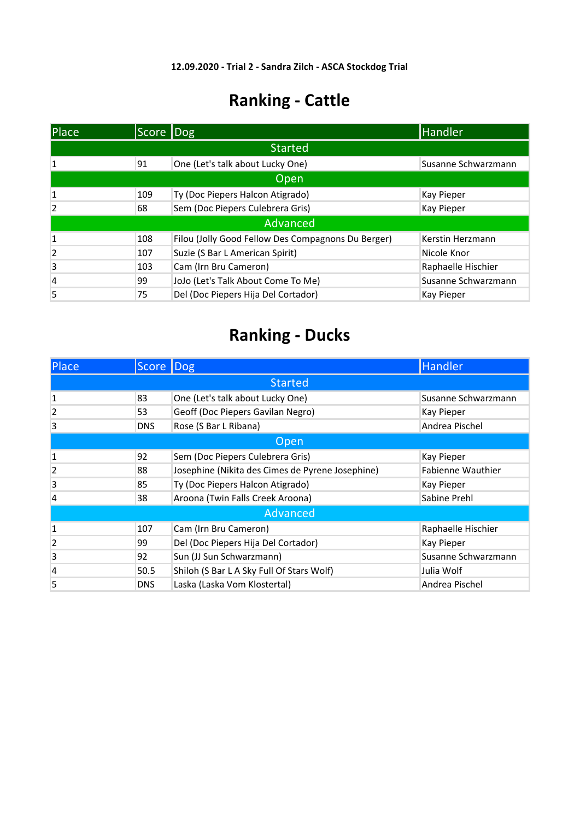| Place           | Score Dog      |                                                    | Handler             |
|-----------------|----------------|----------------------------------------------------|---------------------|
|                 | <b>Started</b> |                                                    |                     |
| 1               | 91             | One (Let's talk about Lucky One)                   | Susanne Schwarzmann |
| Open            |                |                                                    |                     |
| 1               | 109            | Ty (Doc Piepers Halcon Atigrado)                   | <b>Kay Pieper</b>   |
| $\overline{2}$  | 68             | Sem (Doc Piepers Culebrera Gris)                   | <b>Kay Pieper</b>   |
| <b>Advanced</b> |                |                                                    |                     |
| $\mathbf{1}$    | 108            | Filou (Jolly Good Fellow Des Compagnons Du Berger) | Kerstin Herzmann    |
| $\overline{2}$  | 107            | Suzie (S Bar L American Spirit)                    | Nicole Knor         |
| 3               | 103            | Cam (Irn Bru Cameron)                              | Raphaelle Hischier  |
| 4               | 99             | JoJo (Let's Talk About Come To Me)                 | Susanne Schwarzmann |
| 5               | 75             | Del (Doc Piepers Hija Del Cortador)                | <b>Kay Pieper</b>   |

| Place          | Score Dog      |                                                  | Handler                  |
|----------------|----------------|--------------------------------------------------|--------------------------|
|                | <b>Started</b> |                                                  |                          |
| 1              | 83             | One (Let's talk about Lucky One)                 | Susanne Schwarzmann      |
| $\overline{2}$ | 53             | Geoff (Doc Piepers Gavilan Negro)                | Kay Pieper               |
| 3              | <b>DNS</b>     | Rose (S Bar L Ribana)                            | Andrea Pischel           |
| <b>Open</b>    |                |                                                  |                          |
| 1              | 92             | Sem (Doc Piepers Culebrera Gris)                 | Kay Pieper               |
| $\overline{2}$ | 88             | Josephine (Nikita des Cimes de Pyrene Josephine) | <b>Fabienne Wauthier</b> |
| 3              | 85             | Ty (Doc Piepers Halcon Atigrado)                 | Kay Pieper               |
| 4              | 38             | Aroona (Twin Falls Creek Aroona)                 | Sabine Prehl             |
| Advanced       |                |                                                  |                          |
| 1              | 107            | Cam (Irn Bru Cameron)                            | Raphaelle Hischier       |
| $\overline{2}$ | 99             | Del (Doc Piepers Hija Del Cortador)              | Kay Pieper               |
| 3              | 92             | Sun (JJ Sun Schwarzmann)                         | Susanne Schwarzmann      |
| $\overline{4}$ | 50.5           | Shiloh (S Bar L A Sky Full Of Stars Wolf)        | Julia Wolf               |
| 5              | <b>DNS</b>     | Laska (Laska Vom Klostertal)                     | Andrea Pischel           |